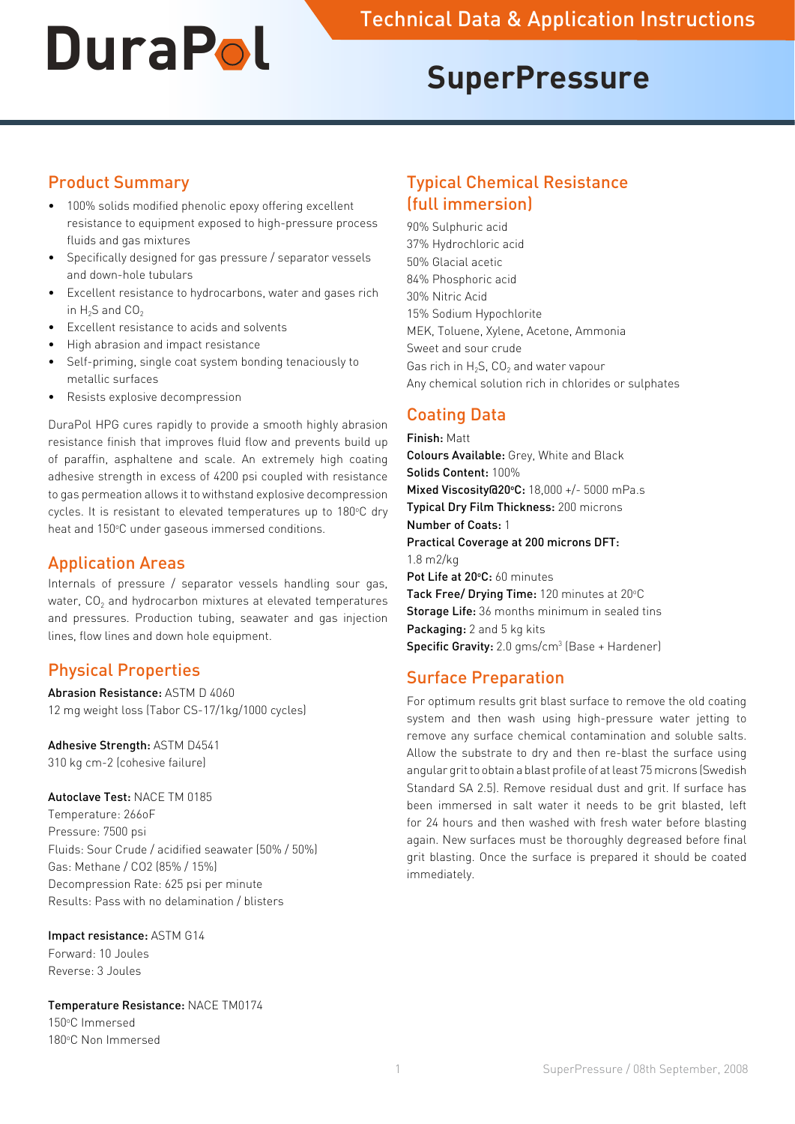# **SuperPressure**

## Product Summary

- 100% solids modified phenolic epoxy offering excellent resistance to equipment exposed to high-pressure process fluids and gas mixtures
- • Specifically designed for gas pressure / separator vessels and down-hole tubulars
- • Excellent resistance to hydrocarbons, water and gases rich in  $H_2S$  and  $CO<sub>2</sub>$
- • Excellent resistance to acids and solvents
- High abrasion and impact resistance
- Self-priming, single coat system bonding tenaciously to metallic surfaces
- Resists explosive decompression

DuraPol HPG cures rapidly to provide a smooth highly abrasion resistance finish that improves fluid flow and prevents build up of paraffin, asphaltene and scale. An extremely high coating adhesive strength in excess of 4200 psi coupled with resistance to gas permeation allows it to withstand explosive decompression cycles. It is resistant to elevated temperatures up to 180°C dry heat and 150°C under gaseous immersed conditions.

## Application Areas

Internals of pressure / separator vessels handling sour gas, water, CO<sub>2</sub> and hydrocarbon mixtures at elevated temperatures and pressures. Production tubing, seawater and gas injection lines, flow lines and down hole equipment.

# Physical Properties

Abrasion Resistance: ASTM D 4060 12 mg weight loss (Tabor CS-17/1kg/1000 cycles)

#### Adhesive Strength: ASTM D4541

310 kg cm-2 (cohesive failure)

#### Autoclave Test: NACE TM 0185

Temperature: 266oF Pressure: 7500 psi Fluids: Sour Crude / acidified seawater (50% / 50%) Gas: Methane / CO2 (85% / 15%) Decompression Rate: 625 psi per minute Results: Pass with no delamination / blisters

#### Impact resistance: ASTM G14

Forward: 10 Joules Reverse: 3 Joules

Temperature Resistance: NACE TM0174 150°C Immersed 180°C Non Immersed

# Typical Chemical Resistance (full immersion)

90% Sulphuric acid 37% Hydrochloric acid 50% Glacial acetic 84% Phosphoric acid 30% Nitric Acid 15% Sodium Hypochlorite MEK, Toluene, Xylene, Acetone, Ammonia Sweet and sour crude Gas rich in  $H_2S$ , CO<sub>2</sub> and water vapour Any chemical solution rich in chlorides or sulphates

# Coating Data

Finish: Matt Colours Available: Grey, White and Black Solids Content: 100% Mixed Viscosity@20°C: 18,000 +/- 5000 mPa.s Typical Dry Film Thickness: 200 microns Number of Coats: 1 Practical Coverage at 200 microns DFT: 1.8 m2/kg Pot Life at 20°C: 60 minutes Tack Free/ Drying Time: 120 minutes at 20°C Storage Life: 36 months minimum in sealed tins Packaging: 2 and 5 kg kits **Specific Gravity:** 2.0 gms/cm<sup>3</sup> (Base + Hardener)

# Surface Preparation

For optimum results grit blast surface to remove the old coating system and then wash using high-pressure water jetting to remove any surface chemical contamination and soluble salts. Allow the substrate to dry and then re-blast the surface using angular grit to obtain a blast profile of at least 75 microns (Swedish Standard SA 2.5). Remove residual dust and grit. If surface has been immersed in salt water it needs to be grit blasted, left for 24 hours and then washed with fresh water before blasting again. New surfaces must be thoroughly degreased before final grit blasting. Once the surface is prepared it should be coated immediately.